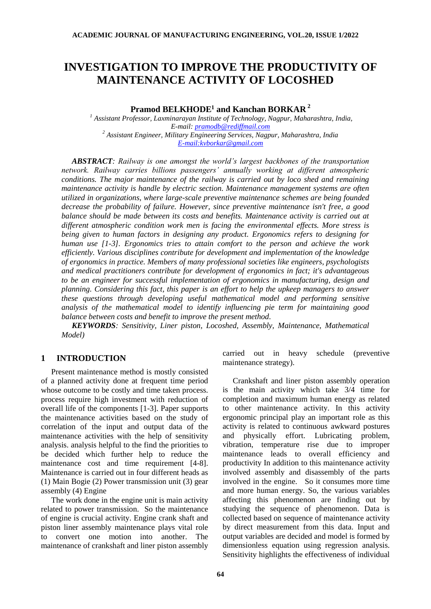# **INVESTIGATION TO IMPROVE THE PRODUCTIVITY OF MAINTENANCE ACTIVITY OF LOCOSHED**

**Pramod BELKHODE<sup>1</sup> and Kanchan BORKAR <sup>2</sup>**

*<sup>1</sup> Assistant Professor, Laxminarayan Institute of Technology, Nagpur, Maharashtra, India, E-mail: [pramodb@rediffmail.com](mailto:pramodb@rediffmail.com) <sup>2</sup> Assistant Engineer, Military Engineering Services, Nagpur, Maharashtra, India [E-mail:kvborkar@gmail.com](mailto:alain.bernard@irccyn.ec-nantes.fr)*

*ABSTRACT: Railway is one amongst the world's largest backbones of the transportation network. Railway carries billions passengers' annually working at different atmospheric conditions. The major maintenance of the railway is carried out by loco shed and remaining maintenance activity is handle by electric section. Maintenance management systems are often utilized in organizations, where large-scale preventive maintenance schemes are being founded decrease the probability of failure. However, since preventive maintenance isn't free, a good*  balance should be made between its costs and benefits. Maintenance activity is carried out at *different atmospheric condition work men is facing the environmental effects. More stress is being given to human factors in designing any product. Ergonomics refers to designing for human use [1-3]. Ergonomics tries to attain comfort to the person and achieve the work efficiently. Various disciplines contribute for development and implementation of the knowledge of ergonomics in practice. Members of many professional societies like engineers, psychologists and medical practitioners contribute for development of ergonomics in fact; it's advantageous to be an engineer for successful implementation of ergonomics in manufacturing, design and planning. Considering this fact, this paper is an effort to help the upkeep managers to answer these questions through developing useful mathematical model and performing sensitive analysis of the mathematical model to identify influencing pie term for maintaining good balance between costs and benefit to improve the present method.*

*KEYWORDS: Sensitivity, Liner piston, Locoshed, Assembly, Maintenance, Mathematical Model)*

### **1 INTRODUCTION**

Present maintenance method is mostly consisted of a planned activity done at frequent time period whose outcome to be costly and time taken process. process require high investment with reduction of overall life of the components [1-3]. Paper supports the maintenance activities based on the study of correlation of the input and output data of the maintenance activities with the help of sensitivity analysis. analysis helpful to the find the priorities to be decided which further help to reduce the maintenance cost and time requirement [4-8]. Maintenance is carried out in four different heads as (1) Main Bogie (2) Power transmission unit (3) gear assembly (4) Engine

The work done in the engine unit is main activity related to power transmission. So the maintenance of engine is crucial activity. Engine crank shaft and piston liner assembly maintenance plays vital role to convert one motion into another. The maintenance of crankshaft and liner piston assembly

carried out in heavy schedule (preventive maintenance strategy).

Crankshaft and liner piston assembly operation is the main activity which take 3/4 time for completion and maximum human energy as related to other maintenance activity. In this activity ergonomic principal play an important role as this activity is related to continuous awkward postures and physically effort. Lubricating problem, vibration, temperature rise due to improper maintenance leads to overall efficiency and productivity In addition to this maintenance activity involved assembly and disassembly of the parts involved in the engine. So it consumes more time and more human energy. So, the various variables affecting this phenomenon are finding out by studying the sequence of phenomenon. Data is collected based on sequence of maintenance activity by direct measurement from this data. Input and output variables are decided and model is formed by dimensionless equation using regression analysis. Sensitivity highlights the effectiveness of individual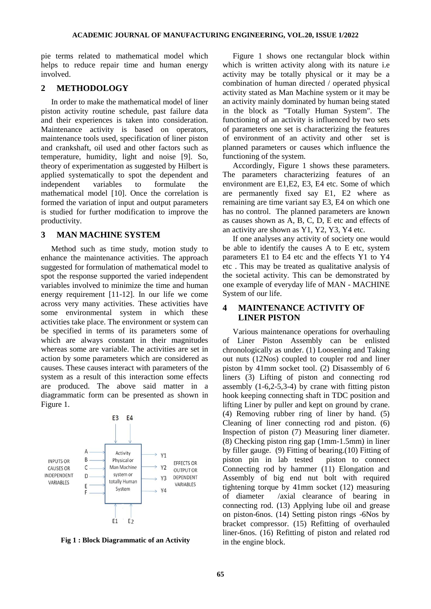pie terms related to mathematical model which helps to reduce repair time and human energy involved.

### **2 METHODOLOGY**

In order to make the mathematical model of liner piston activity routine schedule, past failure data and their experiences is taken into consideration. Maintenance activity is based on operators, maintenance tools used, specification of liner piston and crankshaft, oil used and other factors such as temperature, humidity, light and noise [9]. So, theory of experimentation as suggested by Hilbert is applied systematically to spot the dependent and independent variables to formulate the mathematical model [10]. Once the correlation is formed the variation of input and output parameters is studied for further modification to improve the productivity.

### **3 MAN MACHINE SYSTEM**

Method such as time study, motion study to enhance the maintenance activities. The approach suggested for formulation of mathematical model to spot the response supported the varied independent variables involved to minimize the time and human energy requirement [11-12]. In our life we come across very many activities. These activities have some environmental system in which these activities take place. The environment or system can be specified in terms of its parameters some of which are always constant in their magnitudes whereas some are variable. The activities are set in action by some parameters which are considered as causes. These causes interact with parameters of the system as a result of this interaction some effects are produced. The above said matter in a diagrammatic form can be presented as shown in Figure 1.



**Fig 1 : Block Diagrammatic of an Activity**

Figure 1 shows one rectangular block within which is written activity along with its nature i.e. activity may be totally physical or it may be a combination of human directed / operated physical activity stated as Man Machine system or it may be an activity mainly dominated by human being stated in the block as "Totally Human System". The functioning of an activity is influenced by two sets of parameters one set is characterizing the features of environment of an activity and other set is planned parameters or causes which influence the functioning of the system.

Accordingly, Figure 1 shows these parameters. The parameters characterizing features of an environment are E1,E2, E3, E4 etc. Some of which are permanently fixed say E1, E2 where as remaining are time variant say E3, E4 on which one has no control. The planned parameters are known as causes shown as A, B, C, D, E etc and effects of an activity are shown as Y1, Y2, Y3, Y4 etc.

If one analyses any activity of society one would be able to identify the causes A to E etc, system parameters E1 to E4 etc and the effects Y1 to Y4 etc . This may be treated as qualitative analysis of the societal activity. This can be demonstrated by one example of everyday life of MAN - MACHINE System of our life.

### **4 MAINTENANCE ACTIVITY OF LINER PISTON**

Various maintenance operations for overhauling of Liner Piston Assembly can be enlisted chronologically as under. (1) Loosening and Taking out nuts (12Nos) coupled to coupler rod and liner piston by 41mm socket tool. (2) Disassembly of 6 liners (3) Lifting of piston and connecting rod assembly  $(1-6,2-5,3-4)$  by crane with fitting piston hook keeping connecting shaft in TDC position and lifting Liner by puller and kept on ground by crane. (4) Removing rubber ring of liner by hand. (5) Cleaning of liner connecting rod and piston. (6) Inspection of piston (7) Measuring liner diameter. (8) Checking piston ring gap (1mm-1.5mm) in liner by filler gauge. (9) Fitting of bearing.(10) Fitting of piston pin in lab tested piston to connect Connecting rod by hammer (11) Elongation and Assembly of big end nut bolt with required tightening torque by 41mm socket (12) measuring of diameter /axial clearance of bearing in connecting rod. (13) Applying lube oil and grease on piston-6nos. (14) Setting piston rings -6Nos by bracket compressor. (15) Refitting of overhauled liner-6nos. (16) Refitting of piston and related rod in the engine block.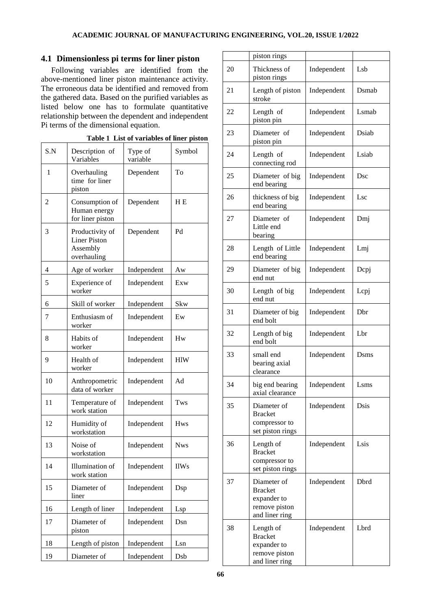## **4.1 Dimensionless pi terms for liner piston**

Following variables are identified from the above-mentioned liner piston maintenance activity. The erroneous data be identified and removed from the gathered data. Based on the purified variables as listed below one has to formulate quantitative relationship between the dependent and independent Pi terms of the dimensional equation.

|     |                                                                   | l'adie i "List of variables of liner piston |                |
|-----|-------------------------------------------------------------------|---------------------------------------------|----------------|
| S.N | Description of<br>Variables                                       | Type of<br>variable                         | Symbol         |
| 1   | Overhauling<br>time for liner<br>piston                           | Dependent                                   | To             |
| 2   | Consumption of<br>Human energy<br>for liner piston                | Dependent                                   | H <sub>E</sub> |
| 3   | Productivity of<br><b>Liner Piston</b><br>Assembly<br>overhauling | Dependent                                   | Pd             |
| 4   | Age of worker                                                     | Independent                                 | Aw             |
| 5   | Experience of<br>worker                                           | Independent                                 | Exw            |
| 6   | Skill of worker                                                   | Independent                                 | Skw            |
| 7   | Enthusiasm of<br>worker                                           | Independent                                 | Ew             |
| 8   | Habits of<br>worker                                               | Independent                                 | Hw             |
| 9   | Health of<br>worker                                               | Independent                                 | <b>HIW</b>     |
| 10  | Anthropometric<br>data of worker                                  | Independent                                 | Ad             |
| 11  | Temperature of<br>work station                                    | Independent                                 | Tws            |
| 12  | Humidity of<br>workstation                                        | Independent                                 | <b>Hws</b>     |
| 13  | Noise of<br>workstation                                           | Independent                                 | <b>Nws</b>     |
| 14  | Illumination of<br>work station                                   | Independent                                 | <b>IlWs</b>    |
| 15  | Diameter of<br>liner                                              | Independent                                 | Dsp            |
| 16  | Length of liner                                                   | Independent                                 | Lsp            |
| 17  | Diameter of<br>piston                                             | Independent                                 | Dsn            |
| 18  | Length of piston                                                  | Independent                                 | Lsn            |
| 19  | Diameter of                                                       | Independent                                 | Dsb            |

|  | Table 1 List of variables of liner piston |  |
|--|-------------------------------------------|--|
|  |                                           |  |

|    | piston rings                                                                    |             |       |
|----|---------------------------------------------------------------------------------|-------------|-------|
| 20 | Thickness of<br>piston rings                                                    | Independent | Lsb   |
| 21 | Length of piston<br>stroke                                                      | Independent | Dsmab |
| 22 | Length of<br>piston pin                                                         | Independent | Lsmab |
| 23 | Diameter of<br>piston pin                                                       | Independent | Dsiab |
| 24 | Length of<br>connecting rod                                                     | Independent | Lsiab |
| 25 | Diameter of big<br>end bearing                                                  | Independent | Dsc   |
| 26 | thickness of big<br>end bearing                                                 | Independent | Lsc   |
| 27 | Diameter of<br>Little end<br>bearing                                            | Independent | Dmj   |
| 28 | Length of Little<br>end bearing                                                 | Independent | Lmj   |
| 29 | Diameter of big<br>end nut                                                      | Independent | Depj  |
| 30 | Length of big<br>end nut                                                        | Independent | Lepj  |
| 31 | Diameter of big<br>end bolt                                                     | Independent | Dbr   |
| 32 | Length of big<br>end bolt                                                       | Independent | Lbr   |
| 33 | small end<br>bearing axial<br>clearance                                         | Independent | Dsms  |
| 34 | big end bearing<br>axial clearance                                              | Independent | Lsms  |
| 35 | Diameter of<br><b>Bracket</b><br>compressor to<br>set piston rings              | Independent | Dsis  |
| 36 | Length of<br><b>Bracket</b><br>compressor to<br>set piston rings                | Independent | Lsis  |
| 37 | Diameter of<br><b>Bracket</b><br>expander to<br>remove piston<br>and liner ring | Independent | Dbrd  |
| 38 | Length of<br><b>Bracket</b><br>expander to<br>remove piston<br>and liner ring   | Independent | Lbrd  |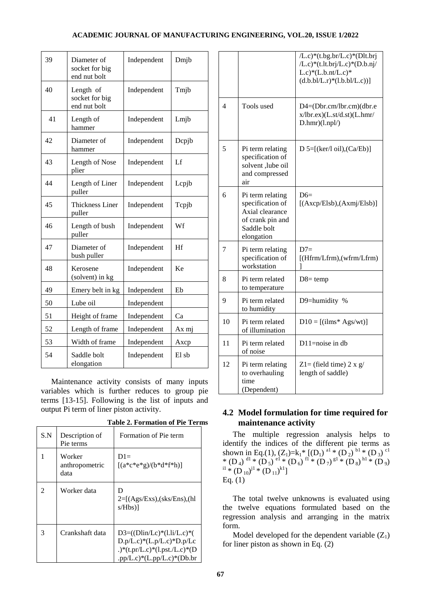### **ACADEMIC JOURNAL OF MANUFACTURING ENGINEERING, VOL.20, ISSUE 1/2022**

| 39 | Diameter of<br>socket for big<br>end nut bolt | Independent | Dmjb  |
|----|-----------------------------------------------|-------------|-------|
| 40 | Length of<br>socket for big<br>end nut bolt   | Independent | Tmjb  |
| 41 | Length of<br>hammer                           | Independent | Lmjb  |
| 42 | Diameter of<br>hammer                         | Independent | Depjb |
| 43 | Length of Nose<br>plier                       | Independent | Lf    |
| 44 | Length of Liner<br>puller                     | Independent | Lepjb |
| 45 | <b>Thickness Liner</b><br>puller              | Independent | Tcpjb |
| 46 | Length of bush<br>puller                      | Independent | Wf    |
| 47 | Diameter of<br>bush puller                    | Independent | Hf    |
| 48 | Kerosene<br>(solvent) in kg                   | Independent | Ke    |
| 49 | Emery belt in kg                              | Independent | Eb    |
| 50 | Lube oil                                      | Independent |       |
| 51 | Height of frame                               | Independent | Ca    |
| 52 | Length of frame                               | Independent | Ax mj |
| 53 | Width of frame                                | Independent | Axcp  |
| 54 | Saddle bolt<br>elongation                     | Independent | El sb |

Maintenance activity consists of many inputs variables which is further reduces to group pie terms [13-15]. Following is the list of inputs and output Pi term of liner piston activity.

|  |  | <b>Table 2. Formation of Pie Terms</b> |  |  |  |
|--|--|----------------------------------------|--|--|--|
|--|--|----------------------------------------|--|--|--|

| S.N | Description of<br>Pie terms      | Formation of Pie term                                                                                                                                             |
|-----|----------------------------------|-------------------------------------------------------------------------------------------------------------------------------------------------------------------|
|     | Worker<br>anthropometric<br>data | $D1=$<br>$[(a*e*e*g)/(b*d*f*h)]$                                                                                                                                  |
|     | Worker data                      | D<br>$2=[(Ags/Exs),(sks/Ens),(hl)]$<br>$s/Hb s$ )                                                                                                                 |
| 3   | Crankshaft data                  | $D3=(\frac{D1in}{Lc})*(1.1i/L.c)*(1.1i)$<br>$D.p/L.c$ <sup>*</sup> (L.p/L.c) <sup>*</sup> $D.p/Lc$<br>.)*(t.pr/L.c)*(l.pst./L.c)*(D<br>.pp/L.c)*(L.pp/L.c)*(Db.br |

|                          |                                                                                                          | /L.c)*(t.bg.br/L.c)*(Dlt.brj<br>$/L.c$ <sup>*</sup> (t.lt.brj/L.c) <sup>*</sup> (D.b.nj/<br>$L.c$ <sup>*</sup> ( $L.b.nt/L.c$ ) <sup>*</sup><br>$(d.b.b1/L.r)*(1.b.b1/L.c))$ |
|--------------------------|----------------------------------------------------------------------------------------------------------|------------------------------------------------------------------------------------------------------------------------------------------------------------------------------|
| $\overline{\mathcal{A}}$ | Tools used                                                                                               | D4=(Dbr.cm/lbr.cm)(dbr.e<br>x/lbr.ex)(L.st/d.st)(L.hmr/<br>D.hmr)(1.npl/                                                                                                     |
| 5                        | Pi term relating<br>specification of<br>solvent ,lube oil<br>and compressed<br>air                       | D 5= $[(\text{ker}/\text{lo}1), (\text{Ca}/\text{Eb})]$                                                                                                                      |
| 6                        | Pi term relating<br>specification of<br>Axial clearance<br>of crank pin and<br>Saddle bolt<br>elongation | $D6=$<br>[(Axcp/Elsb),(Axmj/Elsb)]                                                                                                                                           |
| 7                        | Pi term relating<br>specification of<br>workstation                                                      | $D7=$<br>[(Hfrm/Lfrm), (wfrm/Lfrm)                                                                                                                                           |
| 8                        | Pi term related<br>to temperature                                                                        | $D8 = temp$                                                                                                                                                                  |
| 9                        | Pi term related<br>to humidity                                                                           | D9=humidity %                                                                                                                                                                |
| 10                       | Pi term related<br>of illumination                                                                       | $D10 = [(i]ms* Ags/wt)]$                                                                                                                                                     |
| 11                       | Pi term related<br>of noise                                                                              | $D11$ =noise in db                                                                                                                                                           |
| 12                       | Pi term relating<br>to overhauling<br>time<br>(Dependent)                                                | Z1= (field time) 2 x $g/$<br>length of saddle)                                                                                                                               |

### **4.2 Model formulation for time required for maintenance activity**

The multiple regression analysis helps to identify the indices of the different pie terms as shown in Eq.(1),  $(Z_1)=k_1* [(D_1)]^{a_1} * (D_2)]^{b_1} * (D_3)$ <sup>c1</sup> \*  $(D_4)$ <sup>d1</sup> \*  $(D_5)$ <sup>e1</sup> \*  $(D_6)$ <sup>f1</sup> \*  $(D_7)$ <sup>g1</sup> \*  $(D_8)$ <sup>h1</sup> \*  $(D_9)$  $i^1 * (D_{10})^{j1} * (D_{11})^{k1}]$ Eq. (1)

The total twelve unknowns is evaluated using the twelve equations formulated based on the regression analysis and arranging in the matrix form.

Model developed for the dependent variable  $(Z_1)$ for liner piston as shown in Eq. (2)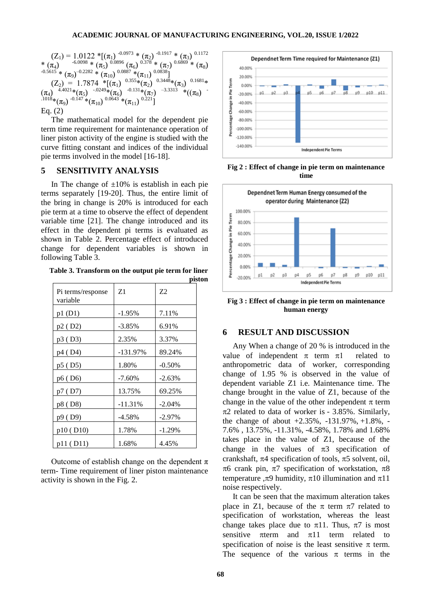$$
(Z_1) = 1.0122 * [( \pi_1 )^{-0.0973} * ( \pi_2 )^{-0.1917} * ( \pi_3 )^{-0.1172}
$$
  
\n
$$
* ( \pi_4 )
$$
  
\n
$$
^{0.5615} * ( \pi_9 )^{-0.2282} * ( \pi_1 )
$$
  
\n
$$
^{0.0896} ( \pi_6 )
$$
  
\n
$$
^{0.378} * ( \pi_7 )
$$
  
\n
$$
^{0.6869} * ( \pi_8 )
$$
  
\n
$$
(Z_2 ) = 1.7874 * [( \pi_1 )
$$
  
\n
$$
^{0.0887} * ( \pi_1 )
$$
  
\n
$$
^{0.0838}]
$$
  
\n
$$
(Z_2 ) = 1.7874 * [( \pi_1 )
$$
  
\n
$$
^{0.375} * ( \pi_2 )
$$
  
\n
$$
^{0.3448} * ( \pi_3 )
$$
  
\n
$$
^{0.1681} * ( \pi_4 )
$$
  
\n
$$
^{0.1681} * ( \pi_5 )
$$
  
\n
$$
^{0.1681} * ( \pi_6 )
$$
  
\n
$$
^{0.1684} * ( \pi_7 )
$$
  
\n
$$
^{0.1684} * ( \pi_9 )
$$
  
\n
$$
^{0.1643} * ( \pi_{11} )
$$
  
\n
$$
^{0.221}]
$$
  
\nEqs. (2)

Eq. (2)

The mathematical model for the dependent pie term time requirement for maintenance operation of liner piston activity of the engine is studied with the curve fitting constant and indices of the individual pie terms involved in the model [16-18].

#### **5 SENSITIVITY ANALYSIS**

In The change of  $\pm 10\%$  is establish in each pie terms separately [19-20]. Thus, the entire limit of the bring in change is 20% is introduced for each pie term at a time to observe the effect of dependent variable time [21]. The change introduced and its effect in the dependent pi terms is evaluated as shown in Table 2. Percentage effect of introduced change for dependent variables is shown in following Table 3.

**Table 3. Transform on the output pie term for liner piston**

| Pi terms/response<br>variable | Z1          | 72       |
|-------------------------------|-------------|----------|
| p1(D1)                        | $-1.95%$    | 7.11%    |
| p2 (D2)                       | $-3.85\%$   | 6.91%    |
| p3 (D3)                       | 2.35%       | 3.37%    |
| p4 (D4)                       | $-131.97\%$ | 89.24%   |
| p5 (D5)                       | 1.80%       | $-0.50%$ |
| p6 (D6)                       | $-7.60\%$   | $-2.63%$ |
| p7 (D7)                       | 13.75%      | 69.25%   |
| p8 (D8)                       | $-11.31%$   | $-2.04%$ |
| p9 (D9)                       | $-4.58%$    | $-2.97%$ |
| p10 (D10)                     | 1.78%       | $-1.29%$ |
| p11 (D11)                     | 1.68%       | 4.45%    |

Outcome of establish change on the dependent  $\pi$ term- Time requirement of liner piston maintenance activity is shown in the Fig. 2.



**Fig 2 : Effect of change in pie term on maintenance time**



**Fig 3 : Effect of change in pie term on maintenance human energy**

#### **6 RESULT AND DISCUSSION**

Any When a change of 20 % is introduced in the value of independent  $\pi$  term  $\pi$ 1 related to anthropometric data of worker, corresponding change of 1.95 % is observed in the value of dependent variable Z1 i.e. Maintenance time. The change brought in the value of Z1, because of the change in the value of the other independent  $\pi$  term  $\pi$ 2 related to data of worker is - 3.85%. Similarly, the change of about +2.35%, -131.97%, +1.8%, - 7.6% , 13.75%, -11.31%, -4.58%, 1.78% and 1.68% takes place in the value of Z1, because of the change in the values of  $\pi$ 3 specification of crankshaft,  $\pi$ 4 specification of tools,  $\pi$ 5 solvent, oil,  $\pi$ 6 crank pin,  $\pi$ 7 specification of workstation,  $\pi$ 8 temperature , $\pi$ 9 humidity,  $\pi$ 10 illumination and  $\pi$ 11 noise respectively.

It can be seen that the maximum alteration takes place in Z1, because of the  $\pi$  term  $\pi$ 7 related to specification of workstation, whereas the least change takes place due to  $\pi$ 11. Thus,  $\pi$ 7 is most sensitive  $\pi$ term and  $\pi$ 11 term related to specification of noise is the least sensitive  $\pi$  term. The sequence of the various  $\pi$  terms in the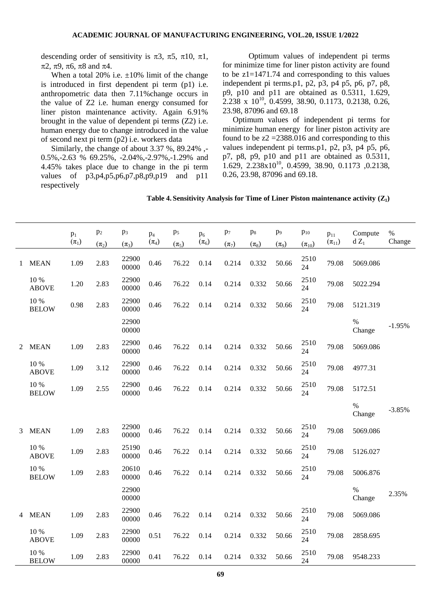descending order of sensitivity is  $\pi$ 3,  $\pi$ 5,  $\pi$ 10,  $\pi$ 1,  $\pi$ 2,  $\pi$ 9,  $\pi$ 6,  $\pi$ 8 and  $\pi$ 4.

When a total 20% i.e.  $\pm 10\%$  limit of the change is introduced in first dependent pi term (p1) i.e. anthropometric data then 7.11%change occurs in the value of Z2 i.e. human energy consumed for liner piston maintenance activity. Again 6.91% brought in the value of dependent pi terms (Z2) i.e. human energy due to change introduced in the value of second next pi term (p2) i.e. workers data

Similarly, the change of about 3.37 %, 89.24% ,- 0.5%,-2.63 % 69.25%, -2.04%,-2.97%,-1.29% and 4.45% takes place due to change in the pi term values of p3,p4,p5,p6,p7,p8,p9,p19 and p11 respectively

Optimum values of independent pi terms for minimize time for liner piston activity are found to be z1=1471.74 and corresponding to this values independent pi terms.p1, p2, p3, p4 p5, p6, p7, p8, p9, p10 and p11 are obtained as 0.5311, 1.629,  $2.238 \times 10^{10}$ , 0.4599, 38.90, 0.1173, 0.2138, 0.26, 23.98, 87096 and 69.18

Optimum values of independent pi terms for minimize human energy for liner piston activity are found to be  $z^2 = 2388.016$  and corresponding to this values independent pi terms.p1, p2, p3, p4 p5, p6, p7, p8, p9, p10 and p11 are obtained as 0.5311,  $1.629, 2.238 \times 10^{10}, 0.4599, 38.90, 0.1173, 0.2138,$ 0.26, 23.98, 87096 and 69.18.

**Table 4. Sensitivity Analysis for Time of Liner Piston maintenance activity (Z1)**

|              |                          | $p_1$     | $p_2$     | $p_3$          | $p_4$     | p <sub>5</sub> | p <sub>6</sub> | $p_7$     | $p_8$     | p <sub>9</sub> | $p_{10}$     | $p_{11}$     | Compute        | $\%$     |
|--------------|--------------------------|-----------|-----------|----------------|-----------|----------------|----------------|-----------|-----------|----------------|--------------|--------------|----------------|----------|
|              |                          | $(\pi_1)$ | $(\pi_2)$ | $(\pi_3)$      | $(\pi_4)$ | $(\pi_5)$      | $(\pi_6)$      | $(\pi_7)$ | $(\pi_8)$ | $(\pi_9)$      | $(\pi_{10})$ | $(\pi_{11})$ | $d Z_1$        | Change   |
| $\mathbf{1}$ | <b>MEAN</b>              | 1.09      | 2.83      | 22900<br>00000 | 0.46      | 76.22          | 0.14           | 0.214     | 0.332     | 50.66          | 2510<br>24   | 79.08        | 5069.086       |          |
|              | 10 %<br><b>ABOVE</b>     | 1.20      | 2.83      | 22900<br>00000 | 0.46      | 76.22          | 0.14           | 0.214     | 0.332     | 50.66          | 2510<br>24   | 79.08        | 5022.294       |          |
|              | 10 %<br><b>BELOW</b>     | 0.98      | 2.83      | 22900<br>00000 | 0.46      | 76.22          | 0.14           | 0.214     | 0.332     | 50.66          | 2510<br>24   | 79.08        | 5121.319       |          |
|              |                          |           |           | 22900<br>00000 |           |                |                |           |           |                |              |              | $\%$<br>Change | $-1.95%$ |
| 2            | <b>MEAN</b>              | 1.09      | 2.83      | 22900<br>00000 | 0.46      | 76.22          | 0.14           | 0.214     | 0.332     | 50.66          | 2510<br>24   | 79.08        | 5069.086       |          |
|              | 10 %<br><b>ABOVE</b>     | 1.09      | 3.12      | 22900<br>00000 | 0.46      | 76.22          | 0.14           | 0.214     | 0.332     | 50.66          | 2510<br>24   | 79.08        | 4977.31        |          |
|              | $10\ \%$<br><b>BELOW</b> | 1.09      | 2.55      | 22900<br>00000 | 0.46      | 76.22          | 0.14           | 0.214     | 0.332     | 50.66          | 2510<br>24   | 79.08        | 5172.51        |          |
|              |                          |           |           |                |           |                |                |           |           |                |              |              | $\%$<br>Change | $-3.85%$ |
| 3            | <b>MEAN</b>              | 1.09      | 2.83      | 22900<br>00000 | 0.46      | 76.22          | 0.14           | 0.214     | 0.332     | 50.66          | 2510<br>24   | 79.08        | 5069.086       |          |
|              | 10 %<br><b>ABOVE</b>     | 1.09      | 2.83      | 25190<br>00000 | 0.46      | 76.22          | 0.14           | 0.214     | 0.332     | 50.66          | 2510<br>24   | 79.08        | 5126.027       |          |
|              | 10 %<br><b>BELOW</b>     | 1.09      | 2.83      | 20610<br>00000 | 0.46      | 76.22          | 0.14           | 0.214     | 0.332     | 50.66          | 2510<br>24   | 79.08        | 5006.876       |          |
|              |                          |           |           | 22900<br>00000 |           |                |                |           |           |                |              |              | $\%$<br>Change | 2.35%    |
| 4            | <b>MEAN</b>              | 1.09      | 2.83      | 22900<br>00000 | 0.46      | 76.22          | 0.14           | 0.214     | 0.332     | 50.66          | 2510<br>24   | 79.08        | 5069.086       |          |
|              | 10 %<br><b>ABOVE</b>     | 1.09      | 2.83      | 22900<br>00000 | 0.51      | 76.22          | 0.14           | 0.214     | 0.332     | 50.66          | 2510<br>24   | 79.08        | 2858.695       |          |
|              | 10 %<br><b>BELOW</b>     | 1.09      | 2.83      | 22900<br>00000 | 0.41      | 76.22          | 0.14           | 0.214     | 0.332     | 50.66          | 2510<br>24   | 79.08        | 9548.233       |          |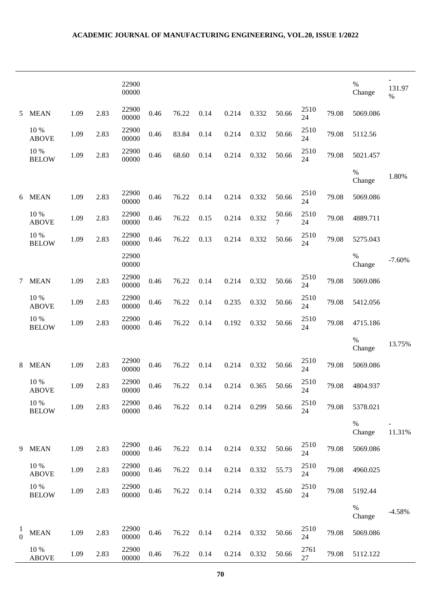### **ACADEMIC JOURNAL OF MANUFACTURING ENGINEERING, VOL.20, ISSUE 1/2022**

|                           |                          |      |      | 22900<br>00000 |      |       |      |       |       |            |            |       | $\%$<br>Change | 131.97<br>$\%$ |
|---------------------------|--------------------------|------|------|----------------|------|-------|------|-------|-------|------------|------------|-------|----------------|----------------|
| 5                         | <b>MEAN</b>              | 1.09 | 2.83 | 22900<br>00000 | 0.46 | 76.22 | 0.14 | 0.214 | 0.332 | 50.66      | 2510<br>24 | 79.08 | 5069.086       |                |
|                           | 10 %<br><b>ABOVE</b>     | 1.09 | 2.83 | 22900<br>00000 | 0.46 | 83.84 | 0.14 | 0.214 | 0.332 | 50.66      | 2510<br>24 | 79.08 | 5112.56        |                |
|                           | 10 %<br><b>BELOW</b>     | 1.09 | 2.83 | 22900<br>00000 | 0.46 | 68.60 | 0.14 | 0.214 | 0.332 | 50.66      | 2510<br>24 | 79.08 | 5021.457       |                |
|                           |                          |      |      |                |      |       |      |       |       |            |            |       | %<br>Change    | 1.80%          |
| 6                         | <b>MEAN</b>              | 1.09 | 2.83 | 22900<br>00000 | 0.46 | 76.22 | 0.14 | 0.214 | 0.332 | 50.66      | 2510<br>24 | 79.08 | 5069.086       |                |
|                           | 10 %<br><b>ABOVE</b>     | 1.09 | 2.83 | 22900<br>00000 | 0.46 | 76.22 | 0.15 | 0.214 | 0.332 | 50.66<br>7 | 2510<br>24 | 79.08 | 4889.711       |                |
|                           | 10 %<br><b>BELOW</b>     | 1.09 | 2.83 | 22900<br>00000 | 0.46 | 76.22 | 0.13 | 0.214 | 0.332 | 50.66      | 2510<br>24 | 79.08 | 5275.043       |                |
|                           |                          |      |      | 22900<br>00000 |      |       |      |       |       |            |            |       | $\%$<br>Change | $-7.60%$       |
| 7                         | <b>MEAN</b>              | 1.09 | 2.83 | 22900<br>00000 | 0.46 | 76.22 | 0.14 | 0.214 | 0.332 | 50.66      | 2510<br>24 | 79.08 | 5069.086       |                |
|                           | 10 %<br><b>ABOVE</b>     | 1.09 | 2.83 | 22900<br>00000 | 0.46 | 76.22 | 0.14 | 0.235 | 0.332 | 50.66      | 2510<br>24 | 79.08 | 5412.056       |                |
|                           | 10 %<br><b>BELOW</b>     | 1.09 | 2.83 | 22900<br>00000 | 0.46 | 76.22 | 0.14 | 0.192 | 0.332 | 50.66      | 2510<br>24 | 79.08 | 4715.186       |                |
|                           |                          |      |      |                |      |       |      |       |       |            |            |       | $\%$<br>Change | 13.75%         |
| 8                         | <b>MEAN</b>              | 1.09 | 2.83 | 22900<br>00000 | 0.46 | 76.22 | 0.14 | 0.214 | 0.332 | 50.66      | 2510<br>24 | 79.08 | 5069.086       |                |
|                           | 10 %<br><b>ABOVE</b>     | 1.09 | 2.83 | 22900<br>00000 | 0.46 | 76.22 | 0.14 | 0.214 | 0.365 | 50.66      | 2510<br>24 | 79.08 | 4804.937       |                |
|                           | 10 %<br><b>BELOW</b>     | 1.09 | 2.83 | 22900<br>00000 | 0.46 | 76.22 | 0.14 | 0.214 | 0.299 | 50.66      | 2510<br>24 | 79.08 | 5378.021       |                |
|                           |                          |      |      |                |      |       |      |       |       |            |            |       | $\%$<br>Change | 11.31%         |
| 9                         | <b>MEAN</b>              | 1.09 | 2.83 | 22900<br>00000 | 0.46 | 76.22 | 0.14 | 0.214 | 0.332 | 50.66      | 2510<br>24 | 79.08 | 5069.086       |                |
|                           | 10 %<br><b>ABOVE</b>     | 1.09 | 2.83 | 22900<br>00000 | 0.46 | 76.22 | 0.14 | 0.214 | 0.332 | 55.73      | 2510<br>24 | 79.08 | 4960.025       |                |
|                           | $10\ \%$<br><b>BELOW</b> | 1.09 | 2.83 | 22900<br>00000 | 0.46 | 76.22 | 0.14 | 0.214 | 0.332 | 45.60      | 2510<br>24 | 79.08 | 5192.44        |                |
|                           |                          |      |      |                |      |       |      |       |       |            |            |       | %<br>Change    | $-4.58%$       |
| $\perp$<br>$\overline{0}$ | <b>MEAN</b>              | 1.09 | 2.83 | 22900<br>00000 | 0.46 | 76.22 | 0.14 | 0.214 | 0.332 | 50.66      | 2510<br>24 | 79.08 | 5069.086       |                |
|                           | 10 %<br><b>ABOVE</b>     | 1.09 | 2.83 | 22900<br>00000 | 0.46 | 76.22 | 0.14 | 0.214 | 0.332 | 50.66      | 2761<br>27 | 79.08 | 5112.122       |                |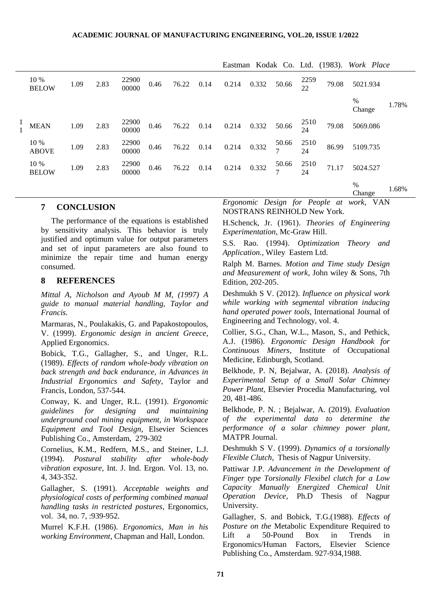| 10 %<br><b>BELOW</b> | 1.09 | 2.83 | 22900<br>00000 | 0.46 | 76.22 | 0.214                              |                         | 50.66             | 2259<br>$\overline{22}$       | 79.08             | 5021.934    |                                                                                      |
|----------------------|------|------|----------------|------|-------|------------------------------------|-------------------------|-------------------|-------------------------------|-------------------|-------------|--------------------------------------------------------------------------------------|
|                      |      |      |                |      |       |                                    |                         |                   |                               |                   | %<br>Change | 1.78%                                                                                |
| <b>MEAN</b>          | 1.09 | 2.83 | 22900<br>00000 | 0.46 |       |                                    |                         |                   | 2510<br>24                    | 79.08             | 5069.086    |                                                                                      |
| 10 %<br><b>ABOVE</b> | 1.09 | 2.83 | 22900<br>00000 | 0.46 | 76.22 |                                    | 0.332                   | $\frac{50.66}{7}$ | $\frac{2510}{24}$             | 86.99             | 5109.735    |                                                                                      |
| 10 %<br><b>BELOW</b> | 1.09 | 2.83 | 22900<br>00000 | 0.46 | 76.22 |                                    |                         |                   | $\frac{2510}{24}$             | 71.17             | 5024.527    |                                                                                      |
|                      |      |      |                |      |       |                                    |                         |                   |                               |                   | %<br>Change | 1.68%                                                                                |
|                      |      |      |                |      |       | 0.14<br>76.22 0.14<br>0.14<br>0.14 | 0.214<br>0.214<br>0.214 |                   | 0.332<br>0.332 50.66<br>0.332 | $\frac{50.66}{7}$ |             | Eastman Kodak Co. Ltd. (1983). Work Place<br>Executive Decise for Deeple at weak MAN |

#### **7 CONCLUSION**

The performance of the equations is established by sensitivity analysis. This behavior is truly justified and optimum value for output parameters and set of input parameters are also found to minimize the repair time and human energy consumed.

### **8 REFERENCES**

*Mittal A, Nicholson and Ayoub M M, (1997) A guide to manual material handling, Taylor and Francis.*

Marmaras, N., Poulakakis, G. and Papakostopoulos, V. (1999). *Ergonomic design in ancient Greece*, Applied Ergonomics.

Bobick, T.G., Gallagher, S., and Unger, R.L. (1989). *Effects of random whole-body vibration on back strength and back endurance, in Advances in Industrial Ergonomics and Safety*, Taylor and Francis, London, 537-544.

Conway, K. and Unger, R.L. (1991). *Ergonomic guidelines for designing and maintaining underground coal mining equipment, in Workspace Equipment and Tool Design*, Elsevier Sciences Publishing Co., Amsterdam, 279-302

Cornelius, K.M., Redfern, M.S., and Steiner, L.J. (1994). *Postural stability after whole-body vibration exposure*, Int. J. Ind. Ergon. Vol. 13, no. 4, 343-352.

Gallagher, S. (1991). *Acceptable weights and physiological costs of performing combined manual handling tasks in restricted postures*, Ergonomics, vol. 34, no. 7, :939-952.

Murrel K.F.H. (1986). *Ergonomics, Man in his working Environment*, Chapman and Hall, London.

*Ergonomic Design for People at work*, VAN NOSTRANS REINHOLD New York.

H.Schenck, Jr. (1961). *Theories of Engineering Experimentation*, Mc-Graw Hill.

S.S. Rao. (1994). *Optimization Theory and Application.*, Wiley Eastern Ltd.

Ralph M. Barnes. *Motion and Time study Design and Measurement of work*, John wiley & Sons, 7th Edition, 202-205.

Deshmukh S V. (2012). *Influence on physical work while working with segmental vibration inducing hand operated power tools*, International Journal of Engineering and Technology, vol. 4.

Collier, S.G., Chan, W.L., Mason, S., and Pethick, A.J. (1986). *Ergonomic Design Handbook for Continuous Miners*, Institute of Occupational Medicine, Edinburgh, Scotland.

Belkhode, P. N, Bejalwar, A. (2018). *Analysis of Experimental Setup of a Small Solar Chimney Power Plant*, Elsevier Procedia Manufacturing, vol 20, 481-486.

Belkhode, P. N. ; Bejalwar, A. (2019). *Evaluation of the experimental data to determine the performance of a solar chimney power plant*, MATPR Journal.

Deshmukh S V. (1999). *Dynamics of a torsionally Flexible Clutch*, Thesis of Nagpur University.

Pattiwar J.P. *Advancement in the Development of Finger type Torsionally Flexibel clutch for a Low Capacity Manually Energized Chemical Unit Operation Device*, Ph.D Thesis of Nagpur University.

Gallagher, S. and Bobick, T.G.(1988). *Effects of Posture on the* Metabolic Expenditure Required to Lift a 50-Pound Box in Trends in Ergonomics/Human Factors, Elsevier Science Publishing Co., Amsterdam. 927-934,1988.